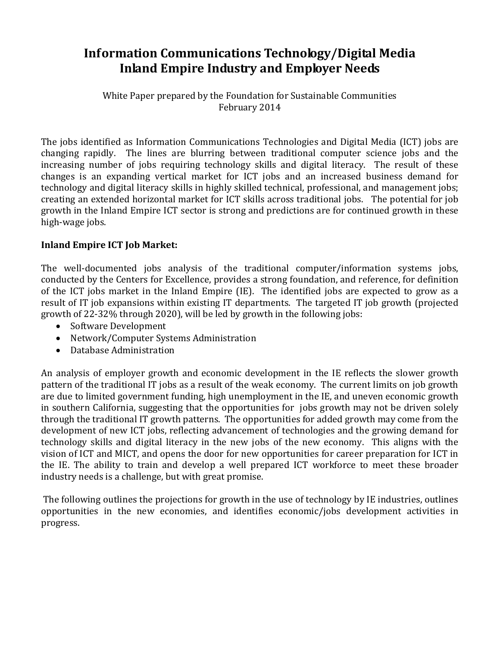## **Information Communications Technology/Digital Media Inland Empire Industry and Employer Needs**

White Paper prepared by the Foundation for Sustainable Communities February 2014

The jobs identified as Information Communications Technologies and Digital Media (ICT) jobs are changing rapidly. The lines are blurring between traditional computer science jobs and the increasing number of jobs requiring technology skills and digital literacy. The result of these changes is an expanding vertical market for ICT jobs and an increased business demand for technology and digital literacy skills in highly skilled technical, professional, and management jobs; creating an extended horizontal market for ICT skills across traditional jobs. The potential for job growth in the Inland Empire ICT sector is strong and predictions are for continued growth in these high-wage jobs.

#### **Inland Empire ICT Job Market:**

The well-documented jobs analysis of the traditional computer/information systems jobs, conducted by the Centers for Excellence, provides a strong foundation, and reference, for definition of the ICT jobs market in the Inland Empire (IE). The identified jobs are expected to grow as a result of IT job expansions within existing IT departments. The targeted IT job growth (projected growth of 22-32% through 2020), will be led by growth in the following jobs:

- Software Development
- Network/Computer Systems Administration
- Database Administration

An analysis of employer growth and economic development in the IE reflects the slower growth pattern of the traditional IT jobs as a result of the weak economy. The current limits on job growth are due to limited government funding, high unemployment in the IE, and uneven economic growth in southern California, suggesting that the opportunities for jobs growth may not be driven solely through the traditional IT growth patterns. The opportunities for added growth may come from the development of new ICT jobs, reflecting advancement of technologies and the growing demand for technology skills and digital literacy in the new jobs of the new economy. This aligns with the vision of ICT and MICT, and opens the door for new opportunities for career preparation for ICT in the IE. The ability to train and develop a well prepared ICT workforce to meet these broader industry needs is a challenge, but with great promise.

The following outlines the projections for growth in the use of technology by IE industries, outlines opportunities in the new economies, and identifies economic/jobs development activities in progress.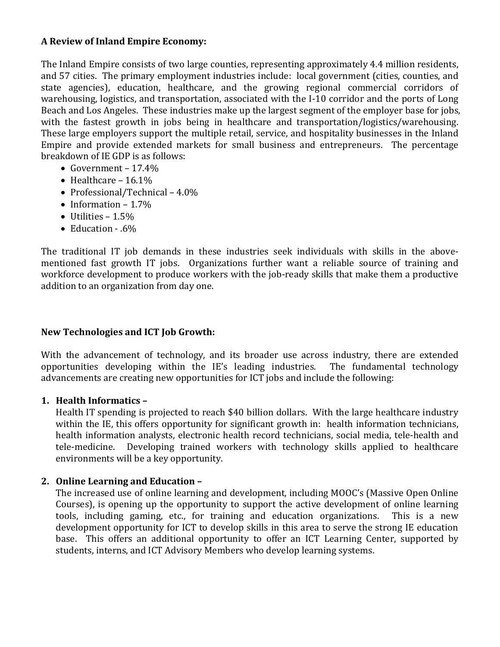#### **A Review of Inland Empire Economy:**

The Inland Empire consists of two large counties, representing approximately 4.4 million residents, and 57 cities. The primary employment industries include: local government (cities, counties, and state agencies), education, healthcare, and the growing regional commercial corridors of warehousing, logistics, and transportation, associated with the I-10 corridor and the ports of Long Beach and Los Angeles. These industries make up the largest segment of the employer base for jobs, with the fastest growth in jobs being in healthcare and transportation/logistics/warehousing. These large employers support the multiple retail, service, and hospitality businesses in the Inland Empire and provide extended markets for small business and entrepreneurs. The percentage breakdown of IE GDP is as follows:

- Government 17.4%
- Healthcare  $16.1\%$
- Professional/Technical 4.0%
- Information 1.7%
- Utilities  $1.5\%$
- Education .6%

The traditional IT job demands in these industries seek individuals with skills in the abovementioned fast growth IT jobs. Organizations further want a reliable source of training and workforce development to produce workers with the job-ready skills that make them a productive addition to an organization from day one.

## **New Technologies and ICT Job Growth:**

With the advancement of technology, and its broader use across industry, there are extended opportunities developing within the IE's leading industries. The fundamental technology opportunities developing within the IE's leading industries. advancements are creating new opportunities for ICT jobs and include the following:

#### **1. Health Informatics –**

Health IT spending is projected to reach \$40 billion dollars. With the large healthcare industry within the IE, this offers opportunity for significant growth in: health information technicians, health information analysts, electronic health record technicians, social media, tele-health and tele-medicine. Developing trained workers with technology skills applied to healthcare environments will be a key opportunity.

## **2. Online Learning and Education –**

The increased use of online learning and development, including MOOC's (Massive Open Online Courses), is opening up the opportunity to support the active development of online learning tools, including gaming, etc., for training and education organizations. This is a new tools, including gaming, etc., for training and education organizations. development opportunity for ICT to develop skills in this area to serve the strong IE education base. This offers an additional opportunity to offer an ICT Learning Center, supported by students, interns, and ICT Advisory Members who develop learning systems.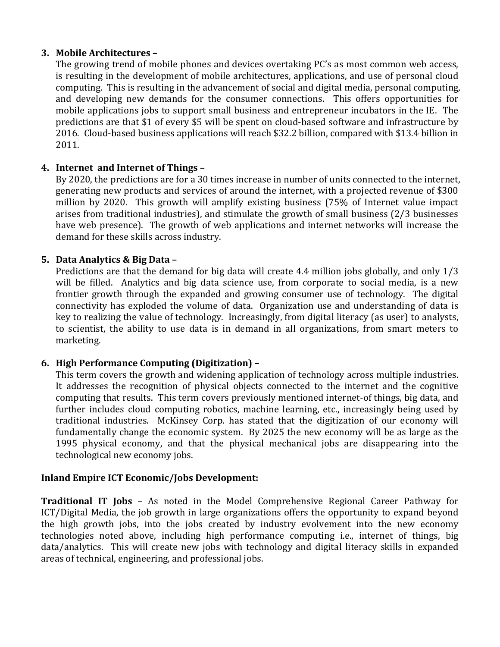#### **3. Mobile Architectures –**

The growing trend of mobile phones and devices overtaking PC's as most common web access, is resulting in the development of mobile architectures, applications, and use of personal cloud computing. This is resulting in the advancement of social and digital media, personal computing, and developing new demands for the consumer connections. This offers opportunities for mobile applications jobs to support small business and entrepreneur incubators in the IE. The predictions are that \$1 of every \$5 will be spent on cloud-based software and infrastructure by 2016. Cloud-based business applications will reach \$32.2 billion, compared with \$13.4 billion in 2011.

#### **4. Internet and Internet of Things –**

By 2020, the predictions are for a 30 times increase in number of units connected to the internet, generating new products and services of around the internet, with a projected revenue of \$300 million by 2020. This growth will amplify existing business (75% of Internet value impact arises from traditional industries), and stimulate the growth of small business (2/3 businesses have web presence). The growth of web applications and internet networks will increase the demand for these skills across industry.

#### **5. Data Analytics & Big Data –**

Predictions are that the demand for big data will create 4.4 million jobs globally, and only 1/3 will be filled. Analytics and big data science use, from corporate to social media, is a new frontier growth through the expanded and growing consumer use of technology. The digital connectivity has exploded the volume of data. Organization use and understanding of data is key to realizing the value of technology. Increasingly, from digital literacy (as user) to analysts, to scientist, the ability to use data is in demand in all organizations, from smart meters to marketing.

#### **6. High Performance Computing (Digitization) –**

This term covers the growth and widening application of technology across multiple industries. It addresses the recognition of physical objects connected to the internet and the cognitive computing that results. This term covers previously mentioned internet-of things, big data, and further includes cloud computing robotics, machine learning, etc., increasingly being used by traditional industries. McKinsey Corp. has stated that the digitization of our economy will fundamentally change the economic system. By 2025 the new economy will be as large as the 1995 physical economy, and that the physical mechanical jobs are disappearing into the technological new economy jobs.

#### **Inland Empire ICT Economic/Jobs Development:**

**Traditional IT Jobs** – As noted in the Model Comprehensive Regional Career Pathway for ICT/Digital Media, the job growth in large organizations offers the opportunity to expand beyond the high growth jobs, into the jobs created by industry evolvement into the new economy technologies noted above, including high performance computing i.e., internet of things, big data/analytics. This will create new jobs with technology and digital literacy skills in expanded areas of technical, engineering, and professional jobs.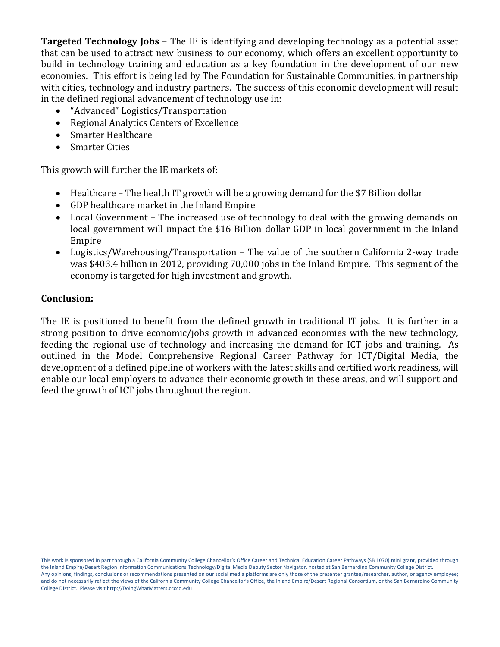**Targeted Technology Jobs** – The IE is identifying and developing technology as a potential asset that can be used to attract new business to our economy, which offers an excellent opportunity to build in technology training and education as a key foundation in the development of our new economies. This effort is being led by The Foundation for Sustainable Communities, in partnership with cities, technology and industry partners. The success of this economic development will result in the defined regional advancement of technology use in:

- "Advanced" Logistics/Transportation
- Regional Analytics Centers of Excellence<br>• Smarter Healthcare
- Smarter Healthcare
- Smarter Cities

This growth will further the IE markets of:

- Healthcare The health IT growth will be a growing demand for the \$7 Billion dollar
- GDP healthcare market in the Inland Empire
- Local Government The increased use of technology to deal with the growing demands on local government will impact the \$16 Billion dollar GDP in local government in the Inland Empire
- Logistics/Warehousing/Transportation The value of the southern California 2-way trade was \$403.4 billion in 2012, providing 70,000 jobs in the Inland Empire. This segment of the economy is targeted for high investment and growth.

#### **Conclusion:**

The IE is positioned to benefit from the defined growth in traditional IT jobs. It is further in a strong position to drive economic/jobs growth in advanced economies with the new technology, feeding the regional use of technology and increasing the demand for ICT jobs and training. As outlined in the Model Comprehensive Regional Career Pathway for ICT/Digital Media, the development of a defined pipeline of workers with the latest skills and certified work readiness, will enable our local employers to advance their economic growth in these areas, and will support and feed the growth of ICT jobs throughout the region.

This work is sponsored in part through a California Community College Chancellor's Office Career and Technical Education Career Pathways (SB 1070) mini grant, provided through the Inland Empire/Desert Region Information Communications Technology/Digital Media Deputy Sector Navigator, hosted at San Bernardino Community College District. Any opinions, findings, conclusions or recommendations presented on our social media platforms are only those of the presenter grantee/researcher, author, or agency employee; and do not necessarily reflect the views of the California Community College Chancellor's Office, the Inland Empire/Desert Regional Consortium, or the San Bernardino Community College District. Please visi[t http://DoingWhatMatters.cccco.edu](http://doingwhatmatters.cccco.edu/) .